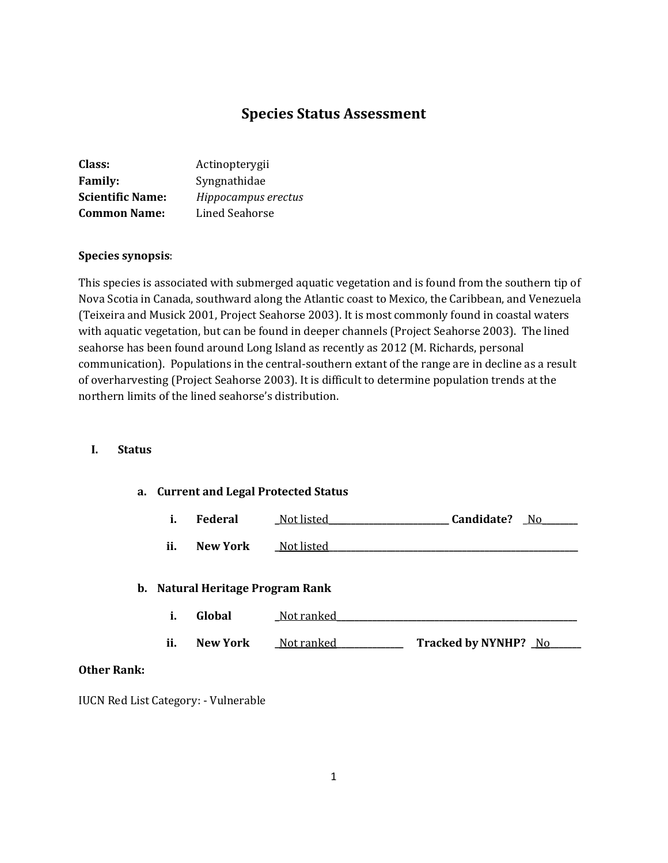# **Species Status Assessment**

| Class:                  | Actinopterygii      |
|-------------------------|---------------------|
| <b>Family:</b>          | Syngnathidae        |
| <b>Scientific Name:</b> | Hippocampus erectus |
| <b>Common Name:</b>     | Lined Seahorse      |

### **Species synopsis**:

This species is associated with submerged aquatic vegetation and is found from the southern tip of Nova Scotia in Canada, southward along the Atlantic coast to Mexico, the Caribbean, and Venezuela (Teixeira and Musick 2001, Project Seahorse 2003). It is most commonly found in coastal waters with aquatic vegetation, but can be found in deeper channels (Project Seahorse 2003). The lined seahorse has been found around Long Island as recently as 2012 (M. Richards, personal communication). Populations in the central-southern extant of the range are in decline as a result of overharvesting (Project Seahorse 2003). It is difficult to determine population trends at the northern limits of the lined seahorse's distribution.

### **I. Status**

#### **a. Current and Legal Protected Status**

| Candidate?<br>Federal<br>Not listed |  |
|-------------------------------------|--|
|-------------------------------------|--|

**ii. New York \_**Not listed**\_\_\_\_\_\_\_\_\_\_\_\_\_\_\_\_\_\_\_\_\_\_\_\_\_\_\_\_\_\_\_\_\_\_\_\_\_\_\_\_\_\_\_\_\_\_\_\_\_\_\_\_\_\_\_\_**

#### **b. Natural Heritage Program Rank**

| Global<br>Not ranked<br>$\blacksquare$<br>ı. |  |
|----------------------------------------------|--|
|----------------------------------------------|--|

**ii. New York \_**Not ranked**\_\_\_\_\_\_\_\_\_\_\_\_\_\_\_ Tracked by NYNHP? \_**No**\_\_\_\_\_\_\_**

### **Other Rank:**

IUCN Red List Category: - Vulnerable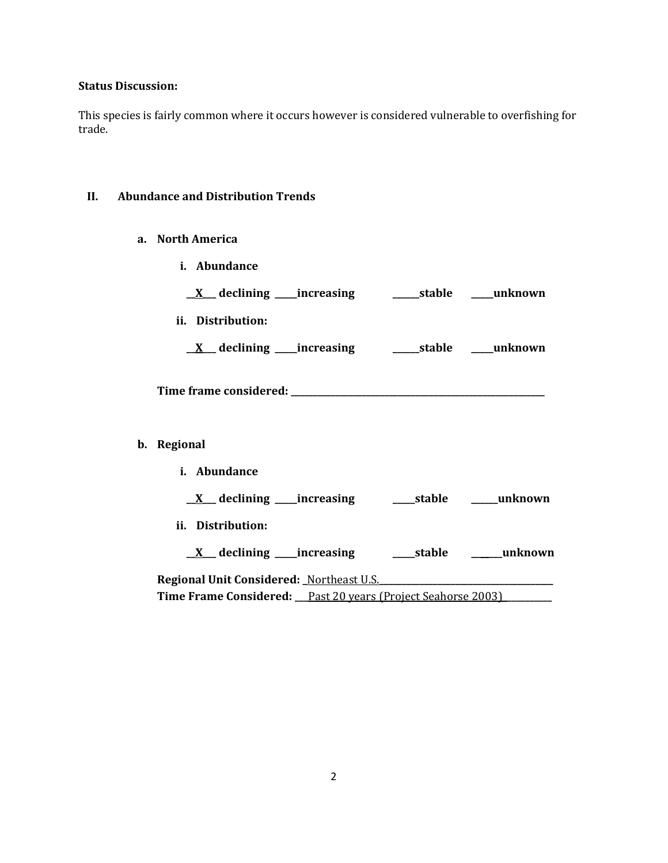## **Status Discussion:**

This species is fairly common where it occurs however is considered vulnerable to overfishing for trade.

# **II. Abundance and Distribution Trends**

**a. North America**

| i. Abundance                                                                                |  |
|---------------------------------------------------------------------------------------------|--|
| <u>X</u> declining increasing stable must be declining                                      |  |
| ii. Distribution:                                                                           |  |
|                                                                                             |  |
|                                                                                             |  |
| b. Regional                                                                                 |  |
| i. Abundance                                                                                |  |
|                                                                                             |  |
| ii. Distribution:                                                                           |  |
|                                                                                             |  |
| Regional Unit Considered: Northeast U.S. Communications and Unit Considered: Northeast U.S. |  |
| Time Frame Considered: Past 20 years (Project Seahorse 2003)                                |  |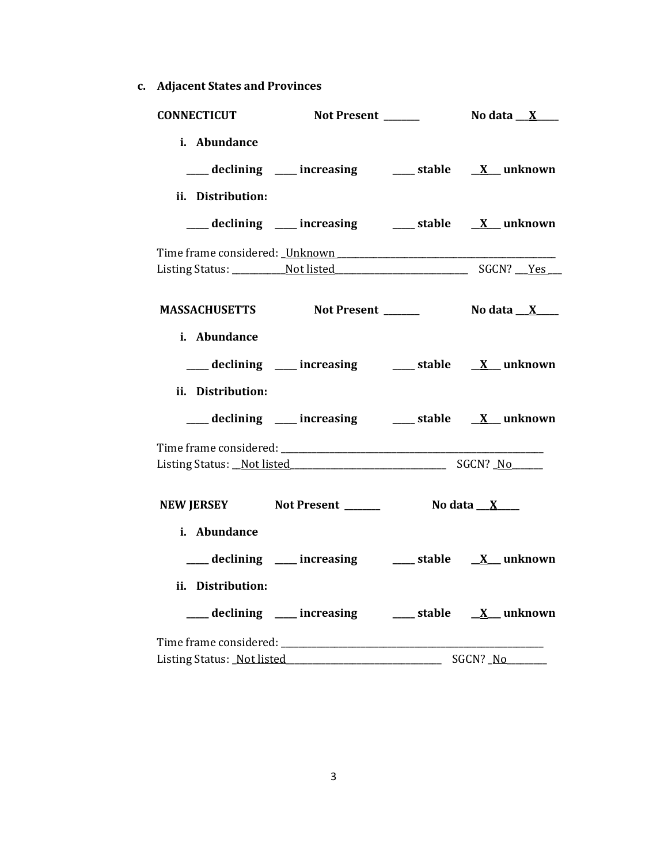**c. Adjacent States and Provinces**

| <b>CONNECTICUT</b>         | Not Present                                           |                          | No data $\_\ X$                   |
|----------------------------|-------------------------------------------------------|--------------------------|-----------------------------------|
| i. Abundance               |                                                       |                          |                                   |
|                            | ___ declining ___ increasing ___ stable __ X_ unknown |                          |                                   |
| ii. Distribution:          |                                                       |                          |                                   |
|                            | ___ declining ___ increasing ___ stable __ X_ unknown |                          |                                   |
|                            |                                                       |                          |                                   |
|                            |                                                       |                          |                                   |
|                            | MASSACHUSETTS Not Present ______                      |                          | No data $\mathbf{X}$ $\mathbf{X}$ |
| i. Abundance               |                                                       |                          |                                   |
|                            | ___ declining ___ increasing ___ stable __ X_ unknown |                          |                                   |
| ii. Distribution:          |                                                       |                          |                                   |
|                            | ___ declining ___ increasing ___ stable __ X_ unknown |                          |                                   |
|                            |                                                       |                          |                                   |
|                            | Listing Status: Not listed SGCN? No                   |                          |                                   |
|                            | NEW JERSEY Not Present ________ No data X___          |                          |                                   |
| i. Abundance               |                                                       |                          |                                   |
|                            | ___ declining ___ increasing ___ stable __ X_ unknown |                          |                                   |
| ii. Distribution:          |                                                       |                          |                                   |
|                            | ___ declining ___ increasing ___ stable __ X_ unknown |                          |                                   |
|                            |                                                       |                          |                                   |
| Listing Status: Not listed |                                                       | $\overline{\phantom{a}}$ | SGCN? No                          |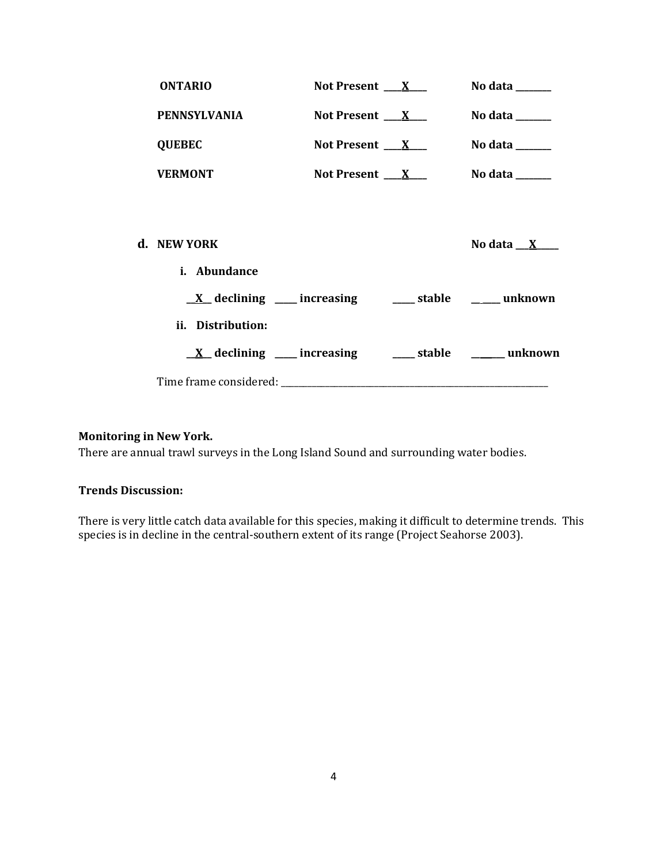| <b>ONTARIO</b>      | Not Present $X_{-}$                                               | No data ______                      |
|---------------------|-------------------------------------------------------------------|-------------------------------------|
| <b>PENNSYLVANIA</b> | Not Present $X_{-}$                                               | No data $\_\_$                      |
| <b>QUEBEC</b>       | Not Present $X_{-}$                                               | No data $\_\_\_\_\_\_\_\_\_\_\_\_\$ |
| <b>VERMONT</b>      | Not Present $X_{-}$                                               | No data $\_\_$                      |
|                     |                                                                   |                                     |
| d. NEW YORK         |                                                                   | No data $X$                         |
| i. Abundance        |                                                                   |                                     |
|                     | $\underline{X}$ declining ___ increasing ____ stable ____ unknown |                                     |
| ii. Distribution:   |                                                                   |                                     |
|                     | $\underline{X}$ declining ___ increasing ____ stable ____ unknown |                                     |
|                     |                                                                   |                                     |

## **Monitoring in New York.**

There are annual trawl surveys in the Long Island Sound and surrounding water bodies.

### **Trends Discussion:**

There is very little catch data available for this species, making it difficult to determine trends. This species is in decline in the central-southern extent of its range (Project Seahorse 2003).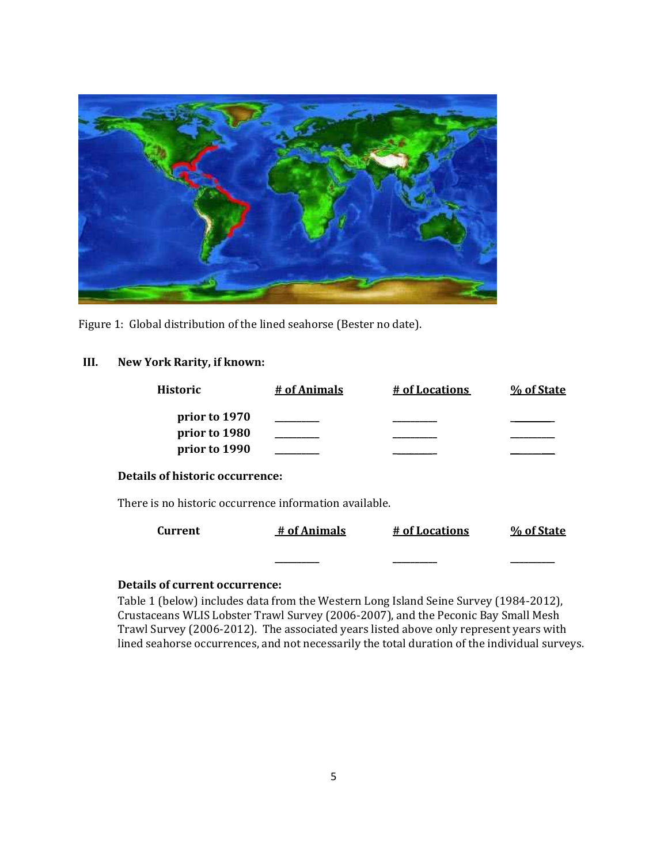

Figure 1: Global distribution of the lined seahorse (Bester no date).

# **III. New York Rarity, if known:**

| <b>Historic</b>                                        | # of Animals | # of Locations | % of State |
|--------------------------------------------------------|--------------|----------------|------------|
| prior to 1970<br>prior to 1980<br>prior to 1990        |              |                |            |
| Details of historic occurrence:                        |              |                |            |
| There is no historic occurrence information available. |              |                |            |
| <b>Current</b>                                         | # of Animals | # of Locations | % of State |
|                                                        |              |                |            |

## **Details of current occurrence:**

Table 1 (below) includes data from the Western Long Island Seine Survey (1984-2012), Crustaceans WLIS Lobster Trawl Survey (2006-2007), and the Peconic Bay Small Mesh Trawl Survey (2006-2012). The associated years listed above only represent years with lined seahorse occurrences, and not necessarily the total duration of the individual surveys.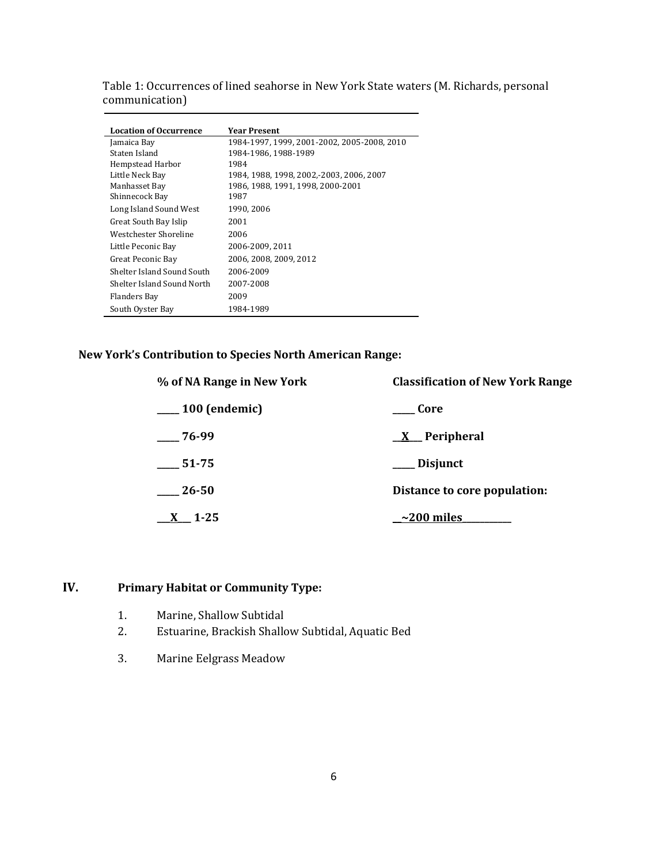| Table 1: Occurrences of lined seahorse in New York State waters (M. Richards, personal |
|----------------------------------------------------------------------------------------|
| communication)                                                                         |

| <b>Location of Occurrence</b> | <b>Year Present</b>                         |
|-------------------------------|---------------------------------------------|
| Jamaica Bay                   | 1984-1997, 1999, 2001-2002, 2005-2008, 2010 |
| Staten Island                 | 1984-1986, 1988-1989                        |
| Hempstead Harbor              | 1984                                        |
| Little Neck Bay               | 1984, 1988, 1998, 2002, 2003, 2006, 2007    |
| Manhasset Bay                 | 1986, 1988, 1991, 1998, 2000-2001           |
| Shinnecock Bay                | 1987                                        |
| Long Island Sound West        | 1990, 2006                                  |
| Great South Bay Islip         | 2001                                        |
| Westchester Shoreline         | 2006                                        |
| Little Peconic Bay            | 2006-2009, 2011                             |
| Great Peconic Bay             | 2006, 2008, 2009, 2012                      |
| Shelter Island Sound South    | 2006-2009                                   |
| Shelter Island Sound North    | 2007-2008                                   |
| Flanders Bay                  | 2009                                        |
| South Oyster Bay              | 1984-1989                                   |

## **New York's Contribution to Species North American Range:**

| % of NA Range in New York | <b>Classification of New York Range</b> |  |  |
|---------------------------|-----------------------------------------|--|--|
| $\_\_100$ (endemic)       | Core                                    |  |  |
| $-76-99$                  | $\underline{X}$ Peripheral              |  |  |
| 51-75                     | ___ Disjunct                            |  |  |
| 26-50                     | Distance to core population:            |  |  |
| 1-25                      | $\sim$ 200 miles                        |  |  |

# **IV. Primary Habitat or Community Type:**

- 1. Marine, Shallow Subtidal
- 2. Estuarine, Brackish Shallow Subtidal, Aquatic Bed
- 3. Marine Eelgrass Meadow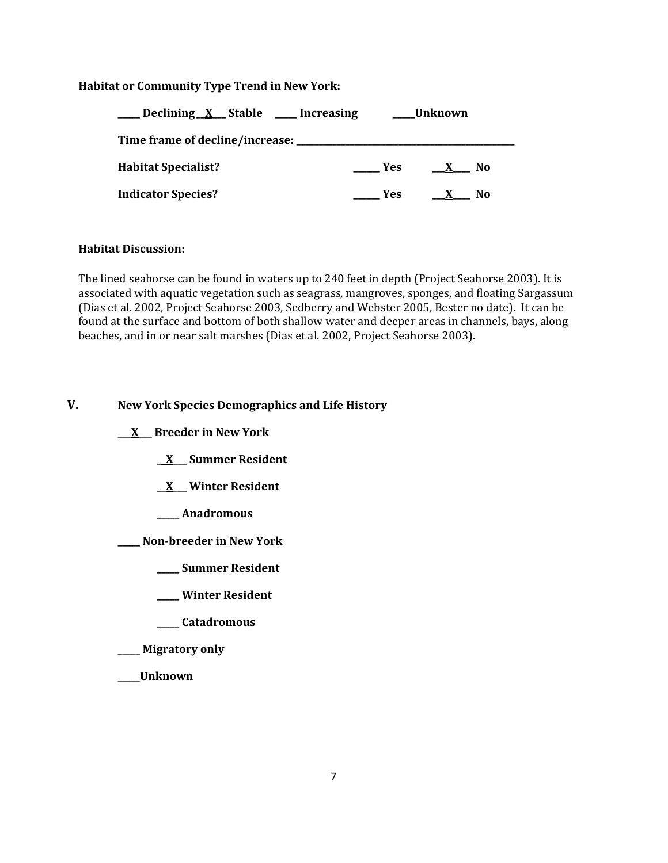### **Habitat or Community Type Trend in New York:**

| Declining X Stable ___ Increasing |            | Unknown            |  |  |
|-----------------------------------|------------|--------------------|--|--|
| Time frame of decline/increase:   |            |                    |  |  |
| <b>Habitat Specialist?</b>        | <b>Yes</b> | No<br>$\mathbf{X}$ |  |  |
| <b>Indicator Species?</b>         | <b>Yes</b> | No                 |  |  |

### **Habitat Discussion:**

The lined seahorse can be found in waters up to 240 feet in depth (Project Seahorse 2003). It is associated with aquatic vegetation such as seagrass, mangroves, sponges, and floating Sargassum (Dias et al. 2002, Project Seahorse 2003, Sedberry and Webster 2005, Bester no date). It can be found at the surface and bottom of both shallow water and deeper areas in channels, bays, along beaches, and in or near salt marshes (Dias et al. 2002, Project Seahorse 2003).

## **V. New York Species Demographics and Life History**

- **\_\_\_X\_\_\_ Breeder in New York**
	- **\_\_X\_\_\_ Summer Resident**
	- **\_\_X\_\_\_ Winter Resident**
	- **\_\_\_\_\_ Anadromous**
- **\_\_\_\_\_ Non-breeder in New York**
	- **\_\_\_\_\_ Summer Resident**
	- **\_\_\_\_\_ Winter Resident**
	- **\_\_\_\_\_ Catadromous**
- **\_\_\_\_\_ Migratory only**
- **\_\_\_\_\_Unknown**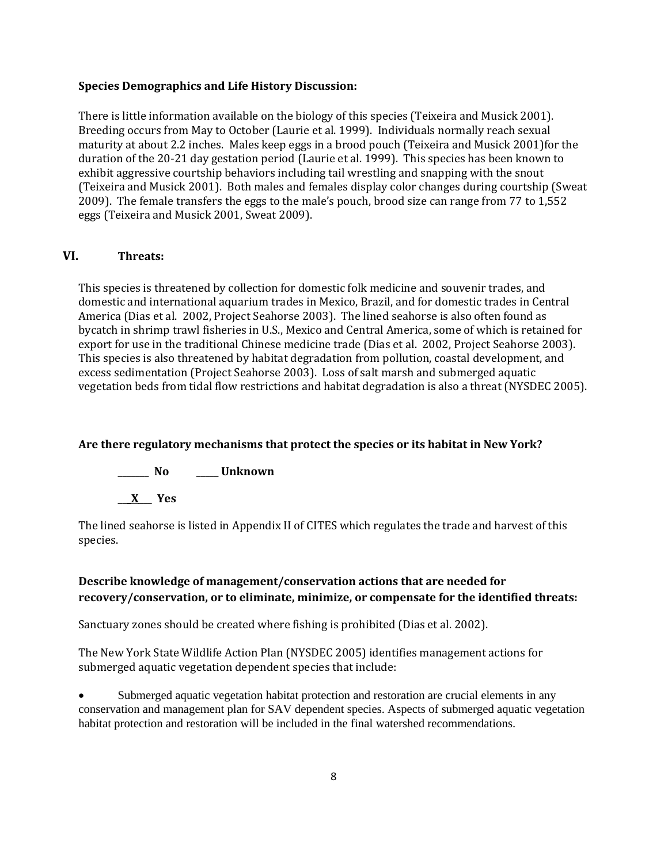#### **Species Demographics and Life History Discussion:**

There is little information available on the biology of this species (Teixeira and Musick 2001). Breeding occurs from May to October (Laurie et al. 1999). Individuals normally reach sexual maturity at about 2.2 inches. Males keep eggs in a brood pouch (Teixeira and Musick 2001)for the duration of the 20-21 day gestation period (Laurie et al. 1999). This species has been known to exhibit aggressive courtship behaviors including tail wrestling and snapping with the snout (Teixeira and Musick 2001). Both males and females display color changes during courtship (Sweat 2009). The female transfers the eggs to the male's pouch, brood size can range from 77 to 1,552 eggs (Teixeira and Musick 2001, Sweat 2009).

### **VI. Threats:**

This species is threatened by collection for domestic folk medicine and souvenir trades, and domestic and international aquarium trades in Mexico, Brazil, and for domestic trades in Central America (Dias et al. 2002, Project Seahorse 2003). The lined seahorse is also often found as bycatch in shrimp trawl fisheries in U.S., Mexico and Central America, some of which is retained for export for use in the traditional Chinese medicine trade (Dias et al. 2002, Project Seahorse 2003). This species is also threatened by habitat degradation from pollution, coastal development, and excess sedimentation (Project Seahorse 2003). Loss of salt marsh and submerged aquatic vegetation beds from tidal flow restrictions and habitat degradation is also a threat (NYSDEC 2005).

### **Are there regulatory mechanisms that protect the species or its habitat in New York?**



The lined seahorse is listed in Appendix II of CITES which regulates the trade and harvest of this species.

## **Describe knowledge of management/conservation actions that are needed for recovery/conservation, or to eliminate, minimize, or compensate for the identified threats:**

Sanctuary zones should be created where fishing is prohibited (Dias et al. 2002).

The New York State Wildlife Action Plan (NYSDEC 2005) identifies management actions for submerged aquatic vegetation dependent species that include:

Submerged aquatic vegetation habitat protection and restoration are crucial elements in any conservation and management plan for SAV dependent species. Aspects of submerged aquatic vegetation habitat protection and restoration will be included in the final watershed recommendations.